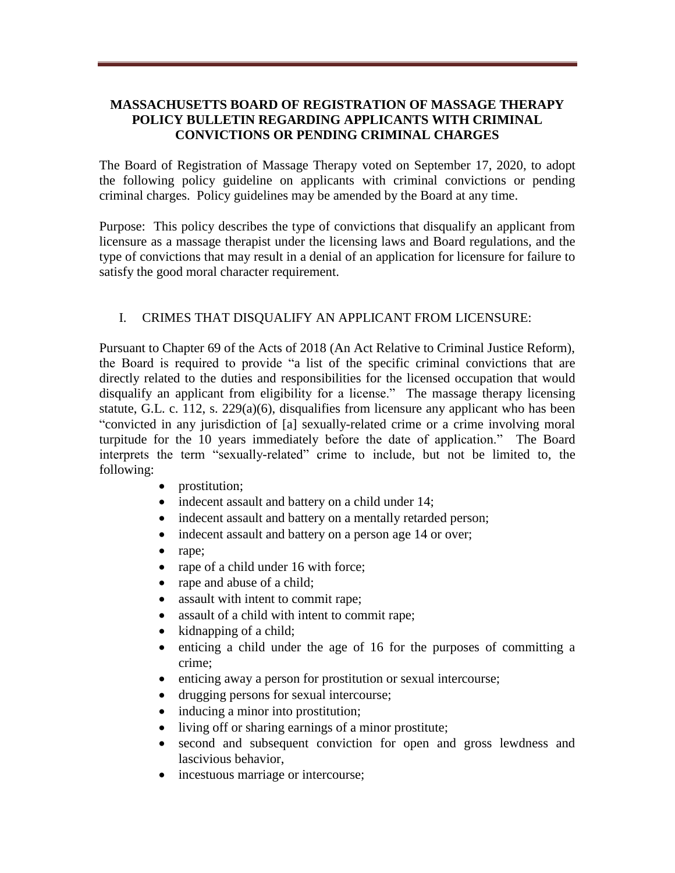## **MASSACHUSETTS BOARD OF REGISTRATION OF MASSAGE THERAPY POLICY BULLETIN REGARDING APPLICANTS WITH CRIMINAL CONVICTIONS OR PENDING CRIMINAL CHARGES**

The Board of Registration of Massage Therapy voted on September 17, 2020, to adopt the following policy guideline on applicants with criminal convictions or pending criminal charges. Policy guidelines may be amended by the Board at any time.

Purpose: This policy describes the type of convictions that disqualify an applicant from licensure as a massage therapist under the licensing laws and Board regulations, and the type of convictions that may result in a denial of an application for licensure for failure to satisfy the good moral character requirement.

## I. CRIMES THAT DISQUALIFY AN APPLICANT FROM LICENSURE:

Pursuant to Chapter 69 of the Acts of 2018 (An Act Relative to Criminal Justice Reform), the Board is required to provide "a list of the specific criminal convictions that are directly related to the duties and responsibilities for the licensed occupation that would disqualify an applicant from eligibility for a license." The massage therapy licensing statute, G.L. c. 112, s. 229(a)(6), disqualifies from licensure any applicant who has been "convicted in any jurisdiction of [a] sexually-related crime or a crime involving moral turpitude for the 10 years immediately before the date of application." The Board interprets the term "sexually-related" crime to include, but not be limited to, the following:

- prostitution;
- indecent assault and battery on a child under 14;
- indecent assault and battery on a mentally retarded person;
- indecent assault and battery on a person age 14 or over;
- rape;
- rape of a child under 16 with force;
- rape and abuse of a child;
- assault with intent to commit rape;
- assault of a child with intent to commit rape;
- kidnapping of a child;
- enticing a child under the age of 16 for the purposes of committing a crime;
- enticing away a person for prostitution or sexual intercourse;
- drugging persons for sexual intercourse;
- inducing a minor into prostitution;
- living off or sharing earnings of a minor prostitute;
- second and subsequent conviction for open and gross lewdness and lascivious behavior,
- incestuous marriage or intercourse;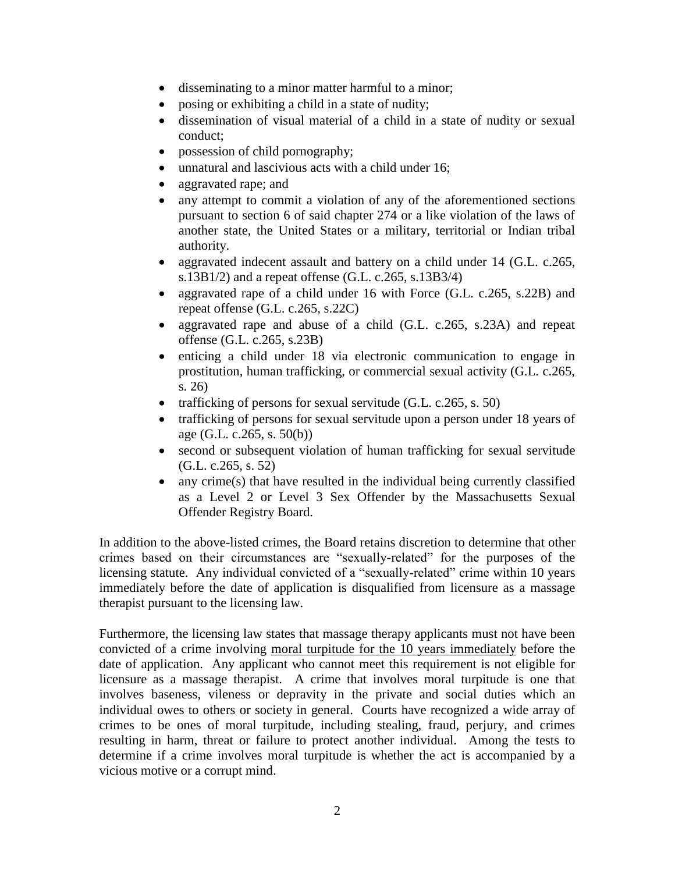- disseminating to a minor matter harmful to a minor;
- posing or exhibiting a child in a state of nudity;
- dissemination of visual material of a child in a state of nudity or sexual conduct;
- possession of child pornography;
- unnatural and lascivious acts with a child under 16;
- aggravated rape; and
- any attempt to commit a violation of any of the aforementioned sections pursuant to section 6 of said chapter 274 or a like violation of the laws of another state, the United States or a military, territorial or Indian tribal authority.
- aggravated indecent assault and battery on a child under 14 (G.L. c.265, s.13B1/2) and a repeat offense  $(G.L. c.265, s.13B3/4)$
- aggravated rape of a child under 16 with Force (G.L. c.265, s.22B) and repeat offense (G.L. c.265, s.22C)
- aggravated rape and abuse of a child (G.L. c.265, s.23A) and repeat offense (G.L. c.265, s.23B)
- enticing a child under 18 via electronic communication to engage in prostitution, human trafficking, or commercial sexual activity (G.L. c.265, s. 26)
- trafficking of persons for sexual servitude  $(G.L. c.265, s. 50)$
- trafficking of persons for sexual servitude upon a person under 18 years of age (G.L. c.265, s. 50(b))
- second or subsequent violation of human trafficking for sexual servitude (G.L. c.265, s. 52)
- any crime(s) that have resulted in the individual being currently classified as a Level 2 or Level 3 Sex Offender by the Massachusetts Sexual Offender Registry Board.

In addition to the above-listed crimes, the Board retains discretion to determine that other crimes based on their circumstances are "sexually-related" for the purposes of the licensing statute. Any individual convicted of a "sexually-related" crime within 10 years immediately before the date of application is disqualified from licensure as a massage therapist pursuant to the licensing law.

Furthermore, the licensing law states that massage therapy applicants must not have been convicted of a crime involving moral turpitude for the 10 years immediately before the date of application. Any applicant who cannot meet this requirement is not eligible for licensure as a massage therapist. A crime that involves moral turpitude is one that involves baseness, vileness or depravity in the private and social duties which an individual owes to others or society in general. Courts have recognized a wide array of crimes to be ones of moral turpitude, including stealing, fraud, perjury, and crimes resulting in harm, threat or failure to protect another individual. Among the tests to determine if a crime involves moral turpitude is whether the act is accompanied by a vicious motive or a corrupt mind.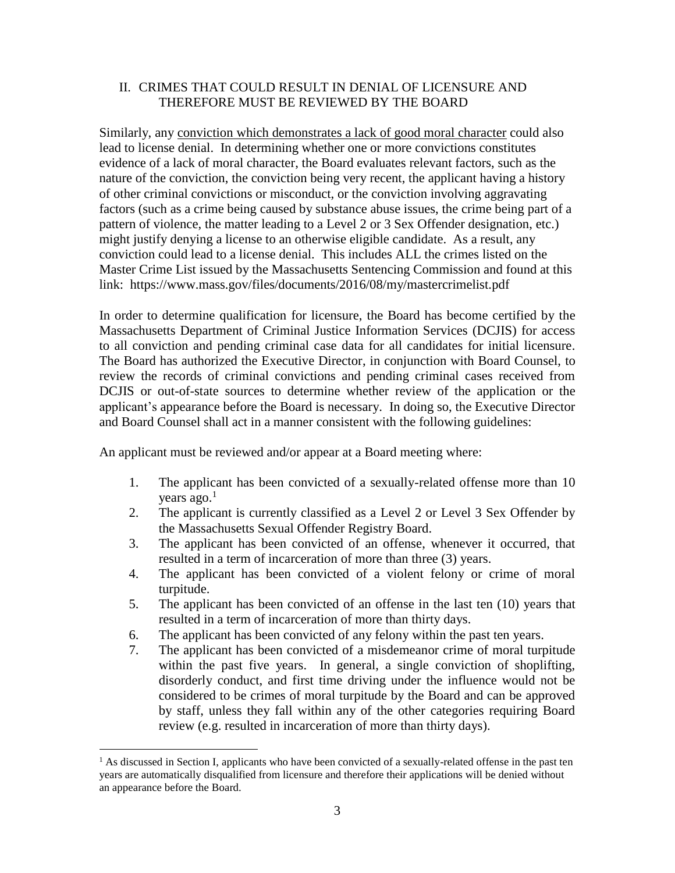## II. CRIMES THAT COULD RESULT IN DENIAL OF LICENSURE AND THEREFORE MUST BE REVIEWED BY THE BOARD

Similarly, any conviction which demonstrates a lack of good moral character could also lead to license denial. In determining whether one or more convictions constitutes evidence of a lack of moral character, the Board evaluates relevant factors, such as the nature of the conviction, the conviction being very recent, the applicant having a history of other criminal convictions or misconduct, or the conviction involving aggravating factors (such as a crime being caused by substance abuse issues, the crime being part of a pattern of violence, the matter leading to a Level 2 or 3 Sex Offender designation, etc.) might justify denying a license to an otherwise eligible candidate. As a result, any conviction could lead to a license denial. This includes ALL the crimes listed on the Master Crime List issued by the Massachusetts Sentencing Commission and found at this link: https://www.mass.gov/files/documents/2016/08/my/mastercrimelist.pdf

In order to determine qualification for licensure, the Board has become certified by the Massachusetts Department of Criminal Justice Information Services (DCJIS) for access to all conviction and pending criminal case data for all candidates for initial licensure. The Board has authorized the Executive Director, in conjunction with Board Counsel, to review the records of criminal convictions and pending criminal cases received from DCJIS or out-of-state sources to determine whether review of the application or the applicant's appearance before the Board is necessary. In doing so, the Executive Director and Board Counsel shall act in a manner consistent with the following guidelines:

An applicant must be reviewed and/or appear at a Board meeting where:

- 1. The applicant has been convicted of a sexually-related offense more than 10 years ago.<sup>1</sup>
- 2. The applicant is currently classified as a Level 2 or Level 3 Sex Offender by the Massachusetts Sexual Offender Registry Board.
- 3. The applicant has been convicted of an offense, whenever it occurred, that resulted in a term of incarceration of more than three (3) years.
- 4. The applicant has been convicted of a violent felony or crime of moral turpitude.
- 5. The applicant has been convicted of an offense in the last ten (10) years that resulted in a term of incarceration of more than thirty days.
- 6. The applicant has been convicted of any felony within the past ten years.
- 7. The applicant has been convicted of a misdemeanor crime of moral turpitude within the past five years. In general, a single conviction of shoplifting, disorderly conduct, and first time driving under the influence would not be considered to be crimes of moral turpitude by the Board and can be approved by staff, unless they fall within any of the other categories requiring Board review (e.g. resulted in incarceration of more than thirty days).

 $\overline{a}$ 

 $<sup>1</sup>$  As discussed in Section I, applicants who have been convicted of a sexually-related offense in the past ten</sup> years are automatically disqualified from licensure and therefore their applications will be denied without an appearance before the Board.